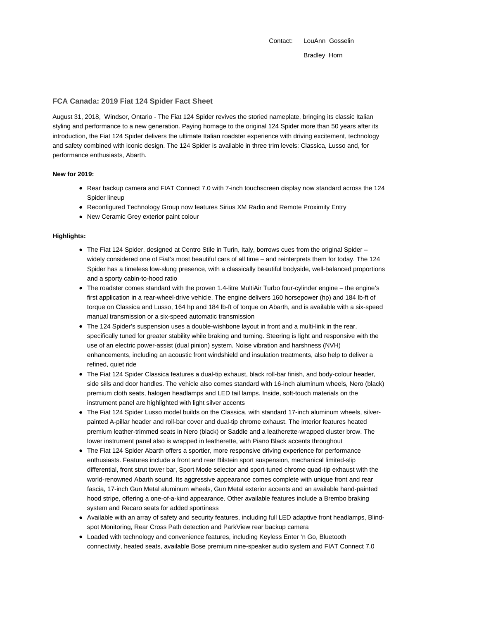Contact: LouAnn Gosselin Bradley Horn

# **FCA Canada: 2019 Fiat 124 Spider Fact Sheet**

August 31, 2018, Windsor, Ontario - The Fiat 124 Spider revives the storied nameplate, bringing its classic Italian styling and performance to a new generation. Paying homage to the original 124 Spider more than 50 years after its introduction, the Fiat 124 Spider delivers the ultimate Italian roadster experience with driving excitement, technology and safety combined with iconic design. The 124 Spider is available in three trim levels: Classica, Lusso and, for performance enthusiasts, Abarth.

# **New for 2019:**

- Rear backup camera and FIAT Connect 7.0 with 7-inch touchscreen display now standard across the 124 Spider lineup
- Reconfigured Technology Group now features Sirius XM Radio and Remote Proximity Entry
- New Ceramic Grey exterior paint colour

# **Highlights:**

- The Fiat 124 Spider, designed at Centro Stile in Turin, Italy, borrows cues from the original Spider widely considered one of Fiat's most beautiful cars of all time – and reinterprets them for today. The 124 Spider has a timeless low-slung presence, with a classically beautiful bodyside, well-balanced proportions and a sporty cabin-to-hood ratio
- The roadster comes standard with the proven 1.4-litre MultiAir Turbo four-cylinder engine the engine's first application in a rear-wheel-drive vehicle. The engine delivers 160 horsepower (hp) and 184 lb-ft of torque on Classica and Lusso, 164 hp and 184 lb-ft of torque on Abarth, and is available with a six-speed manual transmission or a six-speed automatic transmission
- The 124 Spider's suspension uses a double-wishbone layout in front and a multi-link in the rear, specifically tuned for greater stability while braking and turning. Steering is light and responsive with the use of an electric power-assist (dual pinion) system. Noise vibration and harshness (NVH) enhancements, including an acoustic front windshield and insulation treatments, also help to deliver a refined, quiet ride
- The Fiat 124 Spider Classica features a dual-tip exhaust, black roll-bar finish, and body-colour header, side sills and door handles. The vehicle also comes standard with 16-inch aluminum wheels, Nero (black) premium cloth seats, halogen headlamps and LED tail lamps. Inside, soft-touch materials on the instrument panel are highlighted with light silver accents
- The Fiat 124 Spider Lusso model builds on the Classica, with standard 17-inch aluminum wheels, silverpainted A-pillar header and roll-bar cover and dual-tip chrome exhaust. The interior features heated premium leather-trimmed seats in Nero (black) or Saddle and a leatherette-wrapped cluster brow. The lower instrument panel also is wrapped in leatherette, with Piano Black accents throughout
- The Fiat 124 Spider Abarth offers a sportier, more responsive driving experience for performance enthusiasts. Features include a front and rear Bilstein sport suspension, mechanical limited-slip differential, front strut tower bar, Sport Mode selector and sport-tuned chrome quad-tip exhaust with the world-renowned Abarth sound. Its aggressive appearance comes complete with unique front and rear fascia, 17-inch Gun Metal aluminum wheels, Gun Metal exterior accents and an available hand-painted hood stripe, offering a one-of-a-kind appearance. Other available features include a Brembo braking system and Recaro seats for added sportiness
- Available with an array of safety and security features, including full LED adaptive front headlamps, Blindspot Monitoring, Rear Cross Path detection and ParkView rear backup camera
- Loaded with technology and convenience features, including Keyless Enter 'n Go, Bluetooth connectivity, heated seats, available Bose premium nine-speaker audio system and FIAT Connect 7.0